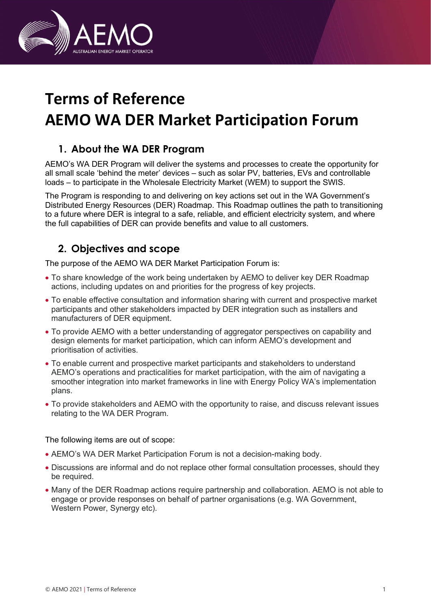

# Terms of Reference AEMO WA DER Market Participation Forum

## 1. About the WA DER Program

AEMO's WA DER Program will deliver the systems and processes to create the opportunity for all small scale 'behind the meter' devices – such as solar PV, batteries, EVs and controllable loads – to participate in the Wholesale Electricity Market (WEM) to support the SWIS.

The Program is responding to and delivering on key actions set out in the WA Government's Distributed Energy Resources (DER) Roadmap. This Roadmap outlines the path to transitioning to a future where DER is integral to a safe, reliable, and efficient electricity system, and where the full capabilities of DER can provide benefits and value to all customers.

## 2. Objectives and scope

The purpose of the AEMO WA DER Market Participation Forum is:

- To share knowledge of the work being undertaken by AEMO to deliver key DER Roadmap actions, including updates on and priorities for the progress of key projects.
- To enable effective consultation and information sharing with current and prospective market participants and other stakeholders impacted by DER integration such as installers and manufacturers of DER equipment.
- To provide AEMO with a better understanding of aggregator perspectives on capability and design elements for market participation, which can inform AEMO's development and prioritisation of activities.
- To enable current and prospective market participants and stakeholders to understand AEMO's operations and practicalities for market participation, with the aim of navigating a smoother integration into market frameworks in line with Energy Policy WA's implementation plans.
- To provide stakeholders and AEMO with the opportunity to raise, and discuss relevant issues relating to the WA DER Program.

The following items are out of scope:

- AEMO's WA DER Market Participation Forum is not a decision-making body.
- Discussions are informal and do not replace other formal consultation processes, should they be required.
- Many of the DER Roadmap actions require partnership and collaboration. AEMO is not able to engage or provide responses on behalf of partner organisations (e.g. WA Government, Western Power, Synergy etc).